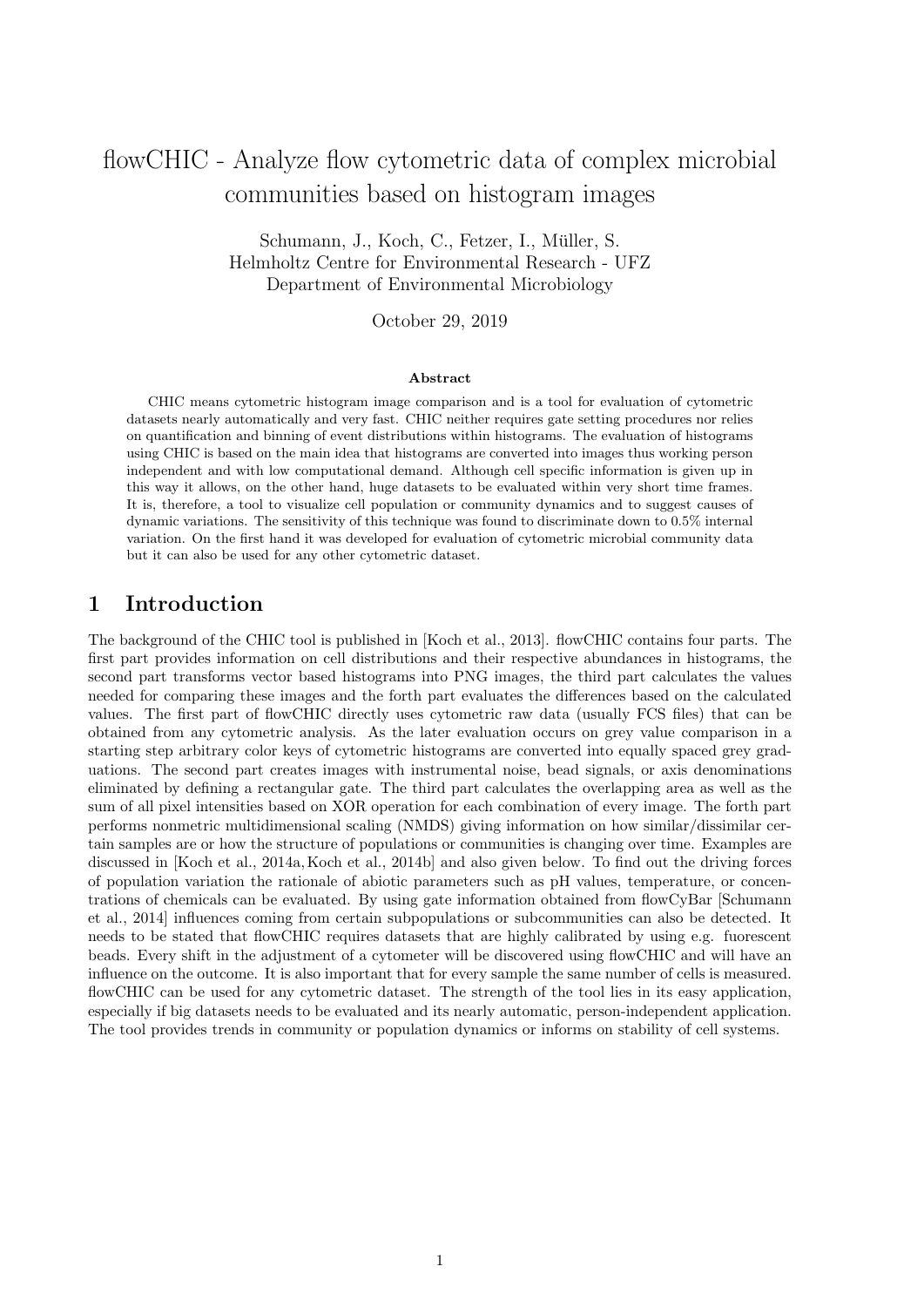# flowCHIC - Analyze flow cytometric data of complex microbial communities based on histogram images

Schumann, J., Koch, C., Fetzer, I., Müller, S. Helmholtz Centre for Environmental Research - UFZ Department of Environmental Microbiology

October 29, 2019

#### Abstract

CHIC means cytometric histogram image comparison and is a tool for evaluation of cytometric datasets nearly automatically and very fast. CHIC neither requires gate setting procedures nor relies on quantification and binning of event distributions within histograms. The evaluation of histograms using CHIC is based on the main idea that histograms are converted into images thus working person independent and with low computational demand. Although cell specific information is given up in this way it allows, on the other hand, huge datasets to be evaluated within very short time frames. It is, therefore, a tool to visualize cell population or community dynamics and to suggest causes of dynamic variations. The sensitivity of this technique was found to discriminate down to 0.5% internal variation. On the first hand it was developed for evaluation of cytometric microbial community data but it can also be used for any other cytometric dataset.

### 1 Introduction

The background of the CHIC tool is published in [\[Koch et al., 2013\]](#page-14-0). flowCHIC contains four parts. The first part provides information on cell distributions and their respective abundances in histograms, the second part transforms vector based histograms into PNG images, the third part calculates the values needed for comparing these images and the forth part evaluates the differences based on the calculated values. The first part of flowCHIC directly uses cytometric raw data (usually FCS files) that can be obtained from any cytometric analysis. As the later evaluation occurs on grey value comparison in a starting step arbitrary color keys of cytometric histograms are converted into equally spaced grey graduations. The second part creates images with instrumental noise, bead signals, or axis denominations eliminated by defining a rectangular gate. The third part calculates the overlapping area as well as the sum of all pixel intensities based on XOR operation for each combination of every image. The forth part performs nonmetric multidimensional scaling (NMDS) giving information on how similar/dissimilar certain samples are or how the structure of populations or communities is changing over time. Examples are discussed in [\[Koch et al., 2014a,](#page-14-1) [Koch et al., 2014b\]](#page-14-2) and also given below. To find out the driving forces of population variation the rationale of abiotic parameters such as pH values, temperature, or concentrations of chemicals can be evaluated. By using gate information obtained from flowCyBar [\[Schumann](#page-14-3) [et al., 2014\]](#page-14-3) influences coming from certain subpopulations or subcommunities can also be detected. It needs to be stated that flowCHIC requires datasets that are highly calibrated by using e.g. fuorescent beads. Every shift in the adjustment of a cytometer will be discovered using flowCHIC and will have an influence on the outcome. It is also important that for every sample the same number of cells is measured. flowCHIC can be used for any cytometric dataset. The strength of the tool lies in its easy application, especially if big datasets needs to be evaluated and its nearly automatic, person-independent application. The tool provides trends in community or population dynamics or informs on stability of cell systems.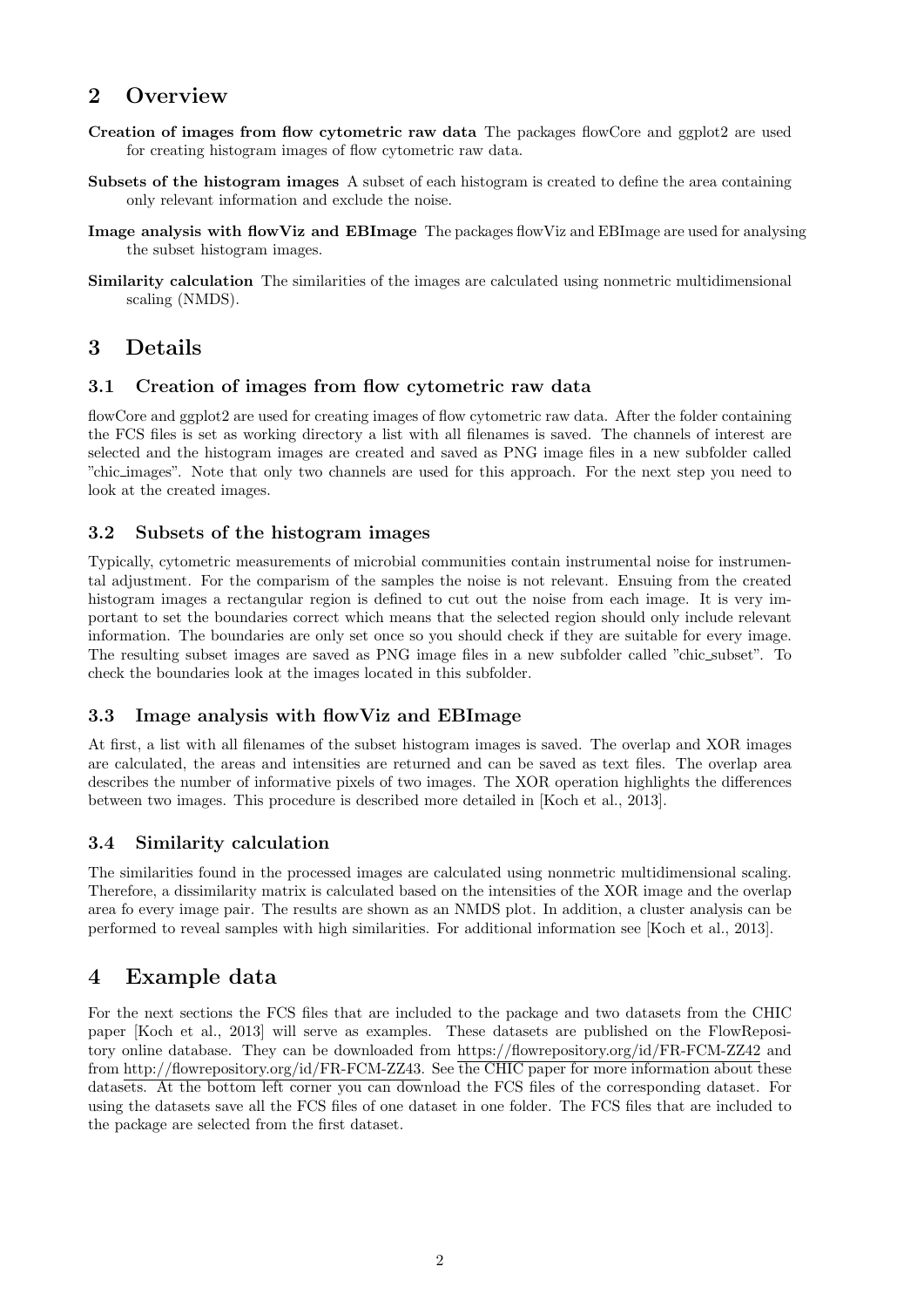### 2 Overview

- Creation of images from flow cytometric raw data The packages flowCore and ggplot2 are used for creating histogram images of flow cytometric raw data.
- Subsets of the histogram images A subset of each histogram is created to define the area containing only relevant information and exclude the noise.
- Image analysis with flowViz and EBImage The packages flowViz and EBImage are used for analysing the subset histogram images.
- Similarity calculation The similarities of the images are calculated using nonmetric multidimensional scaling (NMDS).

### 3 Details

### 3.1 Creation of images from flow cytometric raw data

flowCore and ggplot2 are used for creating images of flow cytometric raw data. After the folder containing the FCS files is set as working directory a list with all filenames is saved. The channels of interest are selected and the histogram images are created and saved as PNG image files in a new subfolder called "chic images". Note that only two channels are used for this approach. For the next step you need to look at the created images.

### 3.2 Subsets of the histogram images

Typically, cytometric measurements of microbial communities contain instrumental noise for instrumental adjustment. For the comparism of the samples the noise is not relevant. Ensuing from the created histogram images a rectangular region is defined to cut out the noise from each image. It is very important to set the boundaries correct which means that the selected region should only include relevant information. The boundaries are only set once so you should check if they are suitable for every image. The resulting subset images are saved as PNG image files in a new subfolder called "chic\_subset". To check the boundaries look at the images located in this subfolder.

### 3.3 Image analysis with flowViz and EBImage

At first, a list with all filenames of the subset histogram images is saved. The overlap and XOR images are calculated, the areas and intensities are returned and can be saved as text files. The overlap area describes the number of informative pixels of two images. The XOR operation highlights the differences between two images. This procedure is described more detailed in [\[Koch et al., 2013\]](#page-14-0).

### 3.4 Similarity calculation

The similarities found in the processed images are calculated using nonmetric multidimensional scaling. Therefore, a dissimilarity matrix is calculated based on the intensities of the XOR image and the overlap area fo every image pair. The results are shown as an NMDS plot. In addition, a cluster analysis can be performed to reveal samples with high similarities. For additional information see [\[Koch et al., 2013\]](#page-14-0).

### 4 Example data

For the next sections the FCS files that are included to the package and two datasets from the CHIC paper [\[Koch et al., 2013\]](#page-14-0) will serve as examples. These datasets are published on the FlowRepository online database. They can be downloaded from<https://flowrepository.org/id/FR-FCM-ZZ42> and from [http://flowrepository.org/id/FR-FCM-ZZ43.](http://flowrepository.org/id/FR-FCM-ZZ43) See the CHIC paper for more information about these datasets. At the bottom left corner you can download the FCS files of the corresponding dataset. For using the datasets save all the FCS files of one dataset in one folder. The FCS files that are included to the package are selected from the first dataset.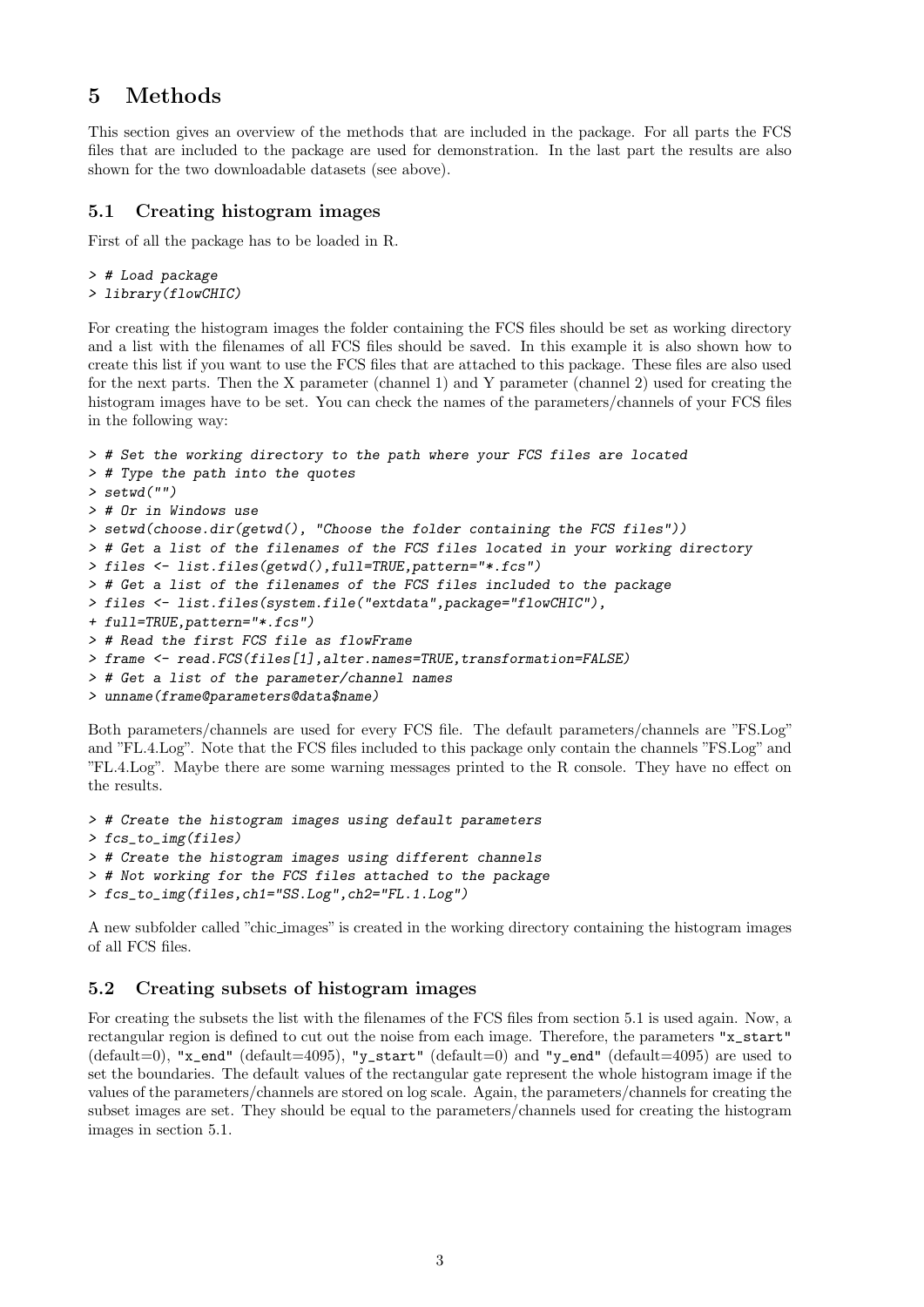### 5 Methods

This section gives an overview of the methods that are included in the package. For all parts the FCS files that are included to the package are used for demonstration. In the last part the results are also shown for the two downloadable datasets (see above).

### 5.1 Creating histogram images

First of all the package has to be loaded in R.

```
> # Load package
> library(flowCHIC)
```
For creating the histogram images the folder containing the FCS files should be set as working directory and a list with the filenames of all FCS files should be saved. In this example it is also shown how to create this list if you want to use the FCS files that are attached to this package. These files are also used for the next parts. Then the X parameter (channel 1) and Y parameter (channel 2) used for creating the histogram images have to be set. You can check the names of the parameters/channels of your FCS files in the following way:

```
> # Set the working directory to the path where your FCS files are located
> # Type the path into the quotes
> setwd("")
> # Or in Windows use
> setwd(choose.dir(getwd(), "Choose the folder containing the FCS files"))
> # Get a list of the filenames of the FCS files located in your working directory
> files <- list.files(getwd(),full=TRUE,pattern="*.fcs")
> # Get a list of the filenames of the FCS files included to the package
> files <- list.files(system.file("extdata",package="flowCHIC"),
+ full=TRUE,pattern="*.fcs")
> # Read the first FCS file as flowFrame
> frame <- read.FCS(files[1], alter.names=TRUE, transformation=FALSE)
> # Get a list of the parameter/channel names
> unname(frame@parameters@data$name)
```
Both parameters/channels are used for every FCS file. The default parameters/channels are "FS.Log" and "FL.4.Log". Note that the FCS files included to this package only contain the channels "FS.Log" and "FL.4.Log". Maybe there are some warning messages printed to the R console. They have no effect on the results.

```
> # Create the histogram images using default parameters
> fcs_to_img(files)
> # Create the histogram images using different channels
> # Not working for the FCS files attached to the package
> fcs_to_img(files,ch1="SS.Log",ch2="FL.1.Log")
```
A new subfolder called "chic images" is created in the working directory containing the histogram images of all FCS files.

### 5.2 Creating subsets of histogram images

For creating the subsets the list with the filenames of the FCS files from section 5.1 is used again. Now, a rectangular region is defined to cut out the noise from each image. Therefore, the parameters "x\_start" (default=0), "x\_end" (default=4095), "y\_start" (default=0) and "y\_end" (default=4095) are used to set the boundaries. The default values of the rectangular gate represent the whole histogram image if the values of the parameters/channels are stored on log scale. Again, the parameters/channels for creating the subset images are set. They should be equal to the parameters/channels used for creating the histogram images in section 5.1.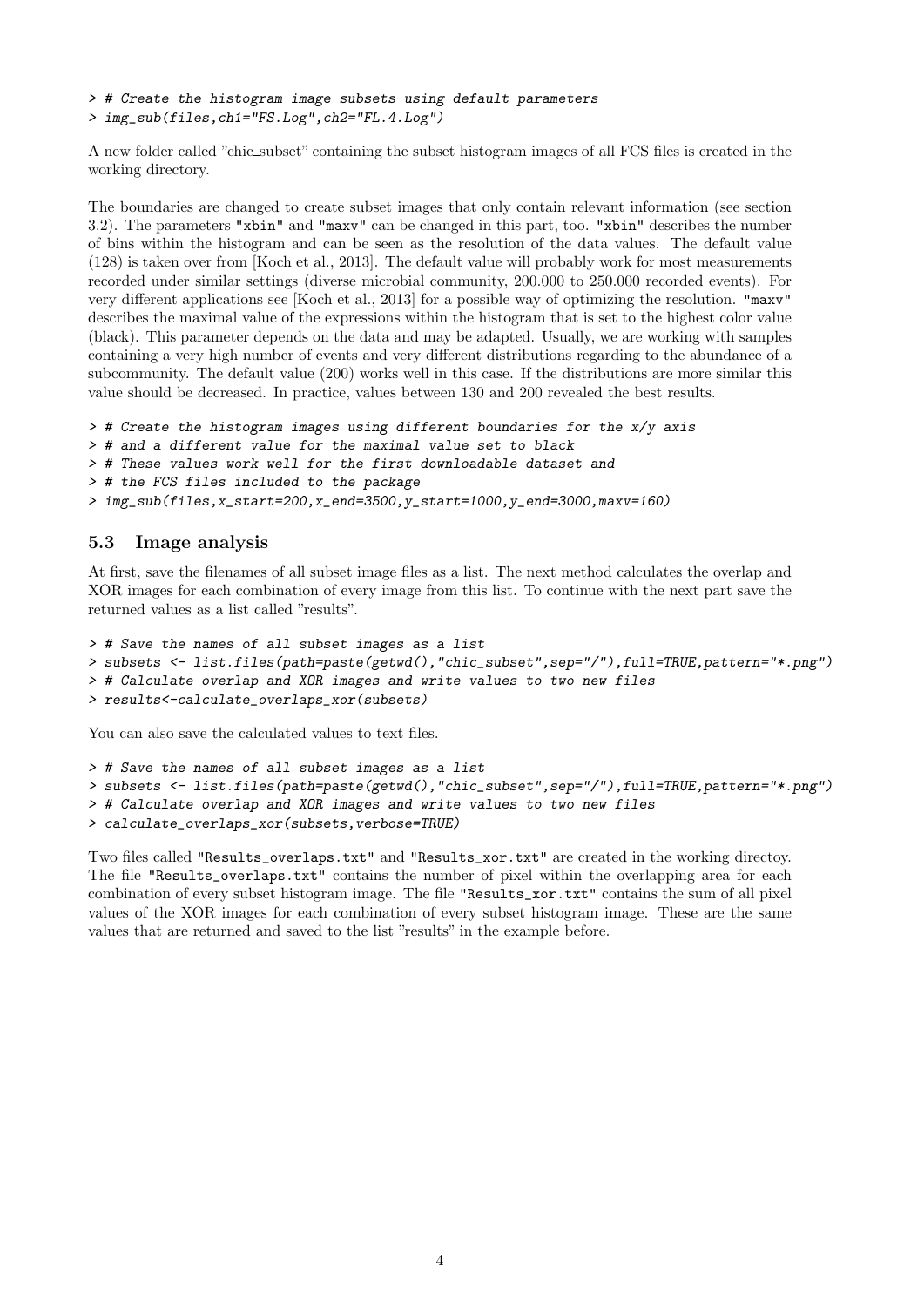> # Create the histogram image subsets using default parameters > img\_sub(files,ch1="FS.Log",ch2="FL.4.Log")

A new folder called "chic subset" containing the subset histogram images of all FCS files is created in the working directory.

The boundaries are changed to create subset images that only contain relevant information (see section 3.2). The parameters "xbin" and "maxv" can be changed in this part, too. "xbin" describes the number of bins within the histogram and can be seen as the resolution of the data values. The default value (128) is taken over from [\[Koch et al., 2013\]](#page-14-0). The default value will probably work for most measurements recorded under similar settings (diverse microbial community, 200.000 to 250.000 recorded events). For very different applications see [\[Koch et al., 2013\]](#page-14-0) for a possible way of optimizing the resolution. "maxv" describes the maximal value of the expressions within the histogram that is set to the highest color value (black). This parameter depends on the data and may be adapted. Usually, we are working with samples containing a very high number of events and very different distributions regarding to the abundance of a subcommunity. The default value (200) works well in this case. If the distributions are more similar this value should be decreased. In practice, values between 130 and 200 revealed the best results.

```
> # Create the histogram images using different boundaries for the x/y axis
```
- > # and a different value for the maximal value set to black
- > # These values work well for the first downloadable dataset and
- > # the FCS files included to the package
- > img\_sub(files,x\_start=200,x\_end=3500,y\_start=1000,y\_end=3000,maxv=160)

### 5.3 Image analysis

At first, save the filenames of all subset image files as a list. The next method calculates the overlap and XOR images for each combination of every image from this list. To continue with the next part save the returned values as a list called "results".

```
> # Save the names of all subset images as a list
> subsets <- list.files(path=paste(getwd(),"chic_subset",sep="/"),full=TRUE,pattern="*.png")
> # Calculate overlap and XOR images and write values to two new files
> results<-calculate_overlaps_xor(subsets)
```
You can also save the calculated values to text files.

```
> # Save the names of all subset images as a list
> subsets <- list.files(path=paste(getwd(),"chic_subset",sep="/"),full=TRUE,pattern="*.png")
> # Calculate overlap and XOR images and write values to two new files
> calculate_overlaps_xor(subsets,verbose=TRUE)
```
Two files called "Results\_overlaps.txt" and "Results\_xor.txt" are created in the working directoy. The file "Results\_overlaps.txt" contains the number of pixel within the overlapping area for each combination of every subset histogram image. The file "Results\_xor.txt" contains the sum of all pixel values of the XOR images for each combination of every subset histogram image. These are the same values that are returned and saved to the list "results" in the example before.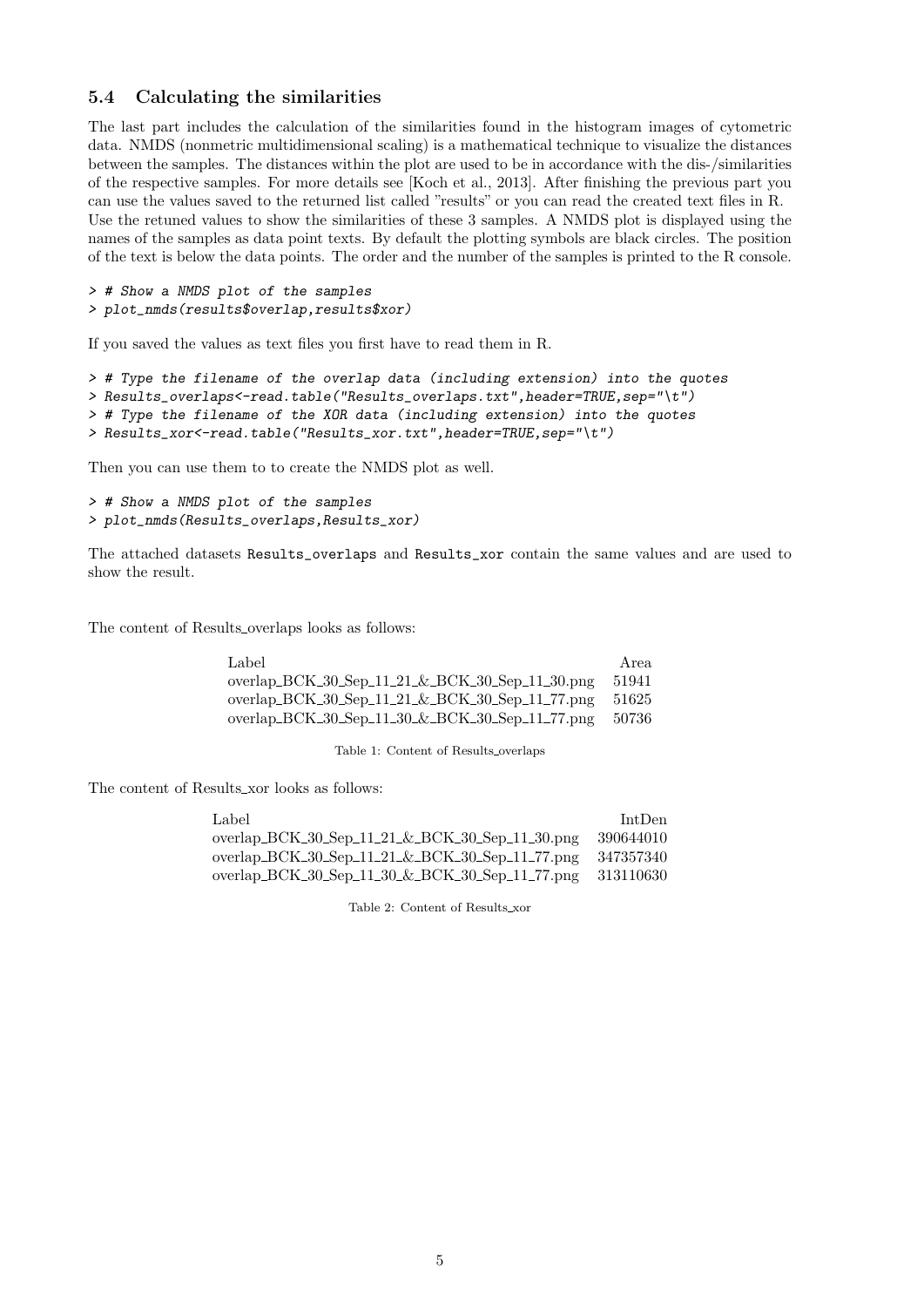### 5.4 Calculating the similarities

The last part includes the calculation of the similarities found in the histogram images of cytometric data. NMDS (nonmetric multidimensional scaling) is a mathematical technique to visualize the distances between the samples. The distances within the plot are used to be in accordance with the dis-/similarities of the respective samples. For more details see [\[Koch et al., 2013\]](#page-14-0). After finishing the previous part you can use the values saved to the returned list called "results" or you can read the created text files in R. Use the retuned values to show the similarities of these 3 samples. A NMDS plot is displayed using the names of the samples as data point texts. By default the plotting symbols are black circles. The position of the text is below the data points. The order and the number of the samples is printed to the R console.

```
> # Show a NMDS plot of the samples
> plot_nmds(results$overlap,results$xor)
```
If you saved the values as text files you first have to read them in R.

```
> # Type the filename of the overlap data (including extension) into the quotes
> Results_overlaps<-read.table("Results_overlaps.txt",header=TRUE,sep="\t")
> # Type the filename of the XOR data (including extension) into the quotes
> Results_xor<-read.table("Results_xor.txt",header=TRUE,sep="\t")
```
Then you can use them to to create the NMDS plot as well.

```
> # Show a NMDS plot of the samples
> plot_nmds(Results_overlaps,Results_xor)
```
The attached datasets Results\_overlaps and Results\_xor contain the same values and are used to show the result.

The content of Results overlaps looks as follows:

| Label                                           | Area  |
|-------------------------------------------------|-------|
| overlap_BCK_30_Sep_11_21_&_BCK_30_Sep_11_30.png | 51941 |
| overlap_BCK_30_Sep_11_21_&_BCK_30_Sep_11_77.png | 51625 |
| overlap_BCK_30_Sep_11_30_&_BCK_30_Sep_11_77.png | 50736 |

Table 1: Content of Results overlaps

The content of Results xor looks as follows:

| Label                                           | IntDen    |
|-------------------------------------------------|-----------|
| overlap_BCK_30_Sep_11_21_&_BCK_30_Sep_11_30.png | 390644010 |
| overlap_BCK_30_Sep_11_21_&_BCK_30_Sep_11_77.png | 347357340 |
| overlap_BCK_30_Sep_11_30_&_BCK_30_Sep_11_77.png | 313110630 |

Table 2: Content of Results xor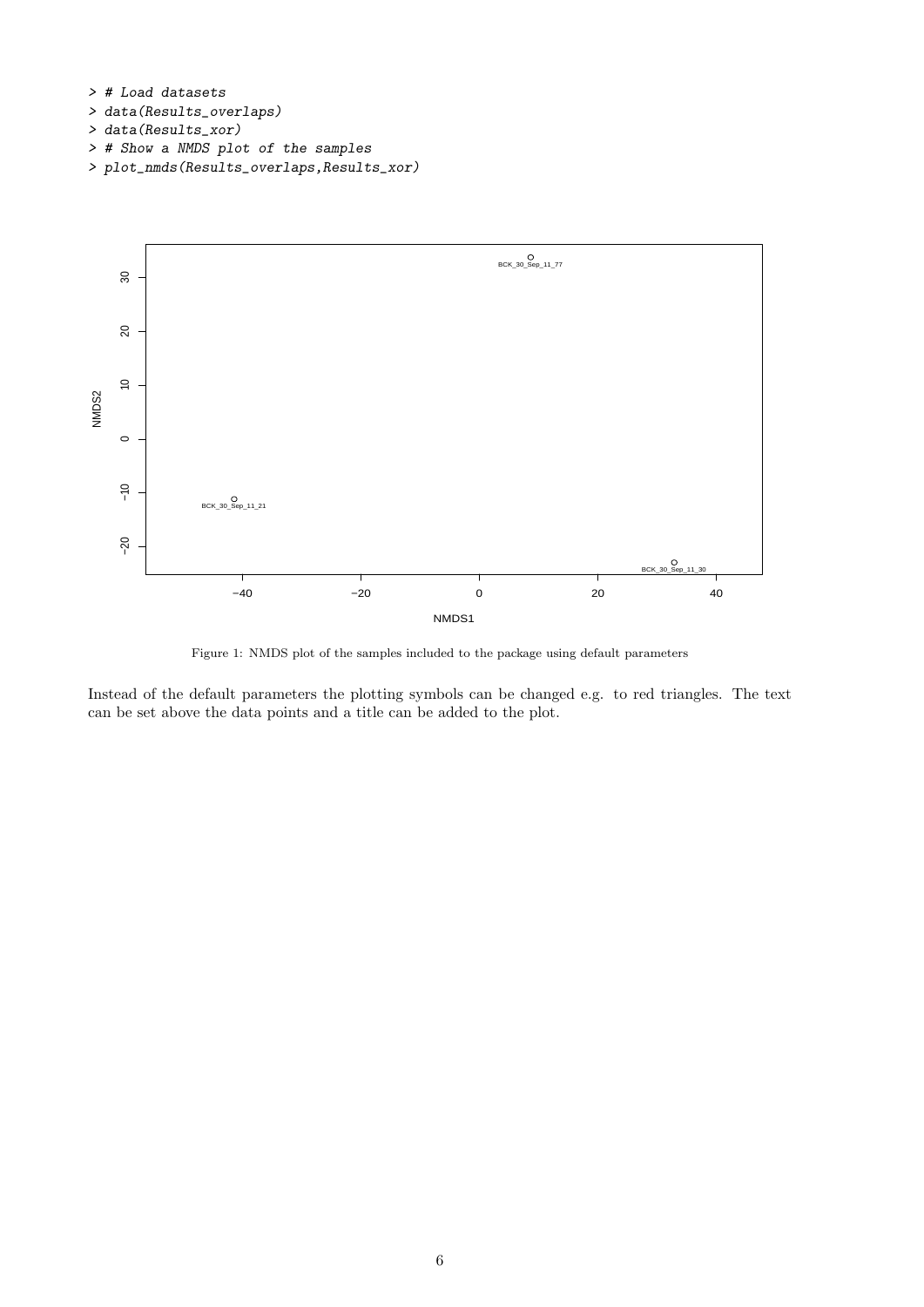

- > data(Results\_xor)
- > # Show a NMDS plot of the samples
- > plot\_nmds(Results\_overlaps,Results\_xor)



Figure 1: NMDS plot of the samples included to the package using default parameters

Instead of the default parameters the plotting symbols can be changed e.g. to red triangles. The text can be set above the data points and a title can be added to the plot.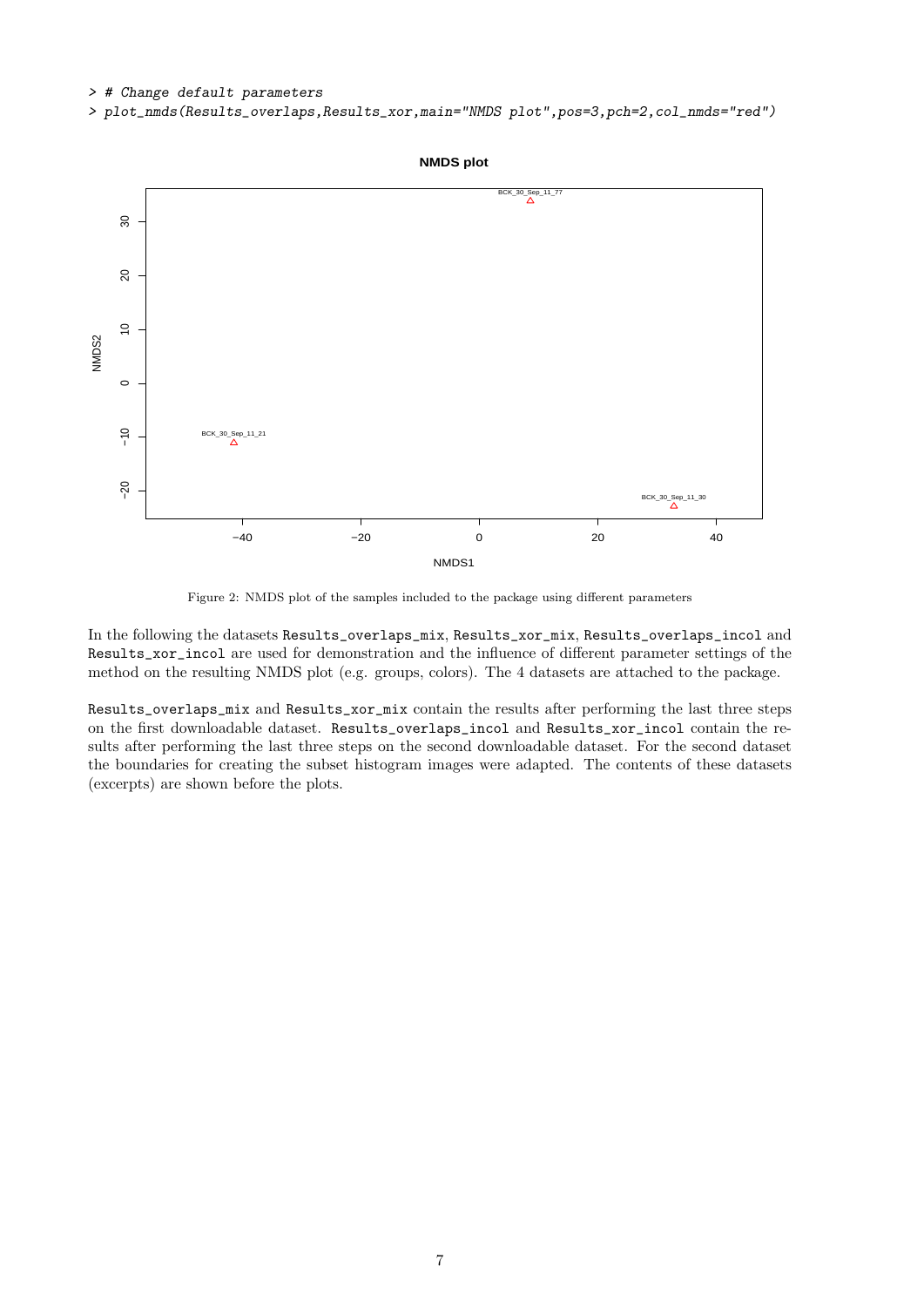#### > # Change default parameters

> plot\_nmds(Results\_overlaps,Results\_xor,main="NMDS plot",pos=3,pch=2,col\_nmds="red")



Figure 2: NMDS plot of the samples included to the package using different parameters

In the following the datasets Results\_overlaps\_mix, Results\_xor\_mix, Results\_overlaps\_incol and Results\_xor\_incol are used for demonstration and the influence of different parameter settings of the method on the resulting NMDS plot (e.g. groups, colors). The 4 datasets are attached to the package.

Results\_overlaps\_mix and Results\_xor\_mix contain the results after performing the last three steps on the first downloadable dataset. Results\_overlaps\_incol and Results\_xor\_incol contain the results after performing the last three steps on the second downloadable dataset. For the second dataset the boundaries for creating the subset histogram images were adapted. The contents of these datasets (excerpts) are shown before the plots.

### 7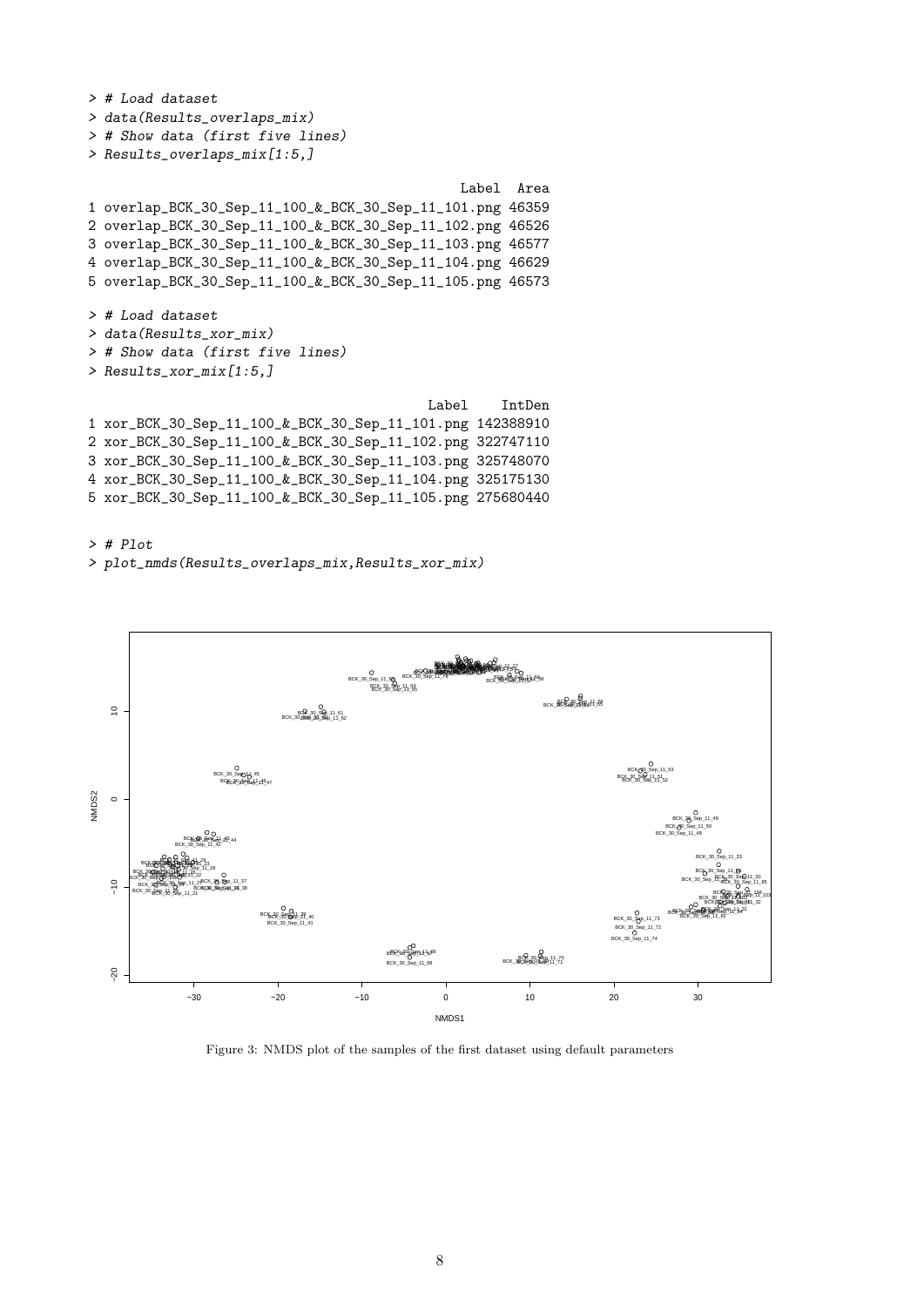```
> # Load dataset
> data(Results_overlaps_mix)
> # Show data (first five lines)
> Results_overlaps_mix[1:5,]
                                              Label Area
1 overlap_BCK_30_Sep_11_100_&_BCK_30_Sep_11_101.png 46359
2 overlap_BCK_30_Sep_11_100_&_BCK_30_Sep_11_102.png 46526
3 overlap_BCK_30_Sep_11_100_&_BCK_30_Sep_11_103.png 46577
4 overlap_BCK_30_Sep_11_100_&_BCK_30_Sep_11_104.png 46629
5 overlap_BCK_30_Sep_11_100_&_BCK_30_Sep_11_105.png 46573
> # Load dataset
> data(Results_xor_mix)
> # Show data (first five lines)
> Results_xor_mix[1:5,]
                                          Label IntDen
1 xor_BCK_30_Sep_11_100_&_BCK_30_Sep_11_101.png 142388910
2 xor_BCK_30_Sep_11_100_&_BCK_30_Sep_11_102.png 322747110
3 xor_BCK_30_Sep_11_100_&_BCK_30_Sep_11_103.png 325748070
4 xor_BCK_30_Sep_11_100_&_BCK_30_Sep_11_104.png 325175130
5 xor_BCK_30_Sep_11_100_&_BCK_30_Sep_11_105.png 275680440
```
> # Plot

> plot\_nmds(Results\_overlaps\_mix,Results\_xor\_mix)



Figure 3: NMDS plot of the samples of the first dataset using default parameters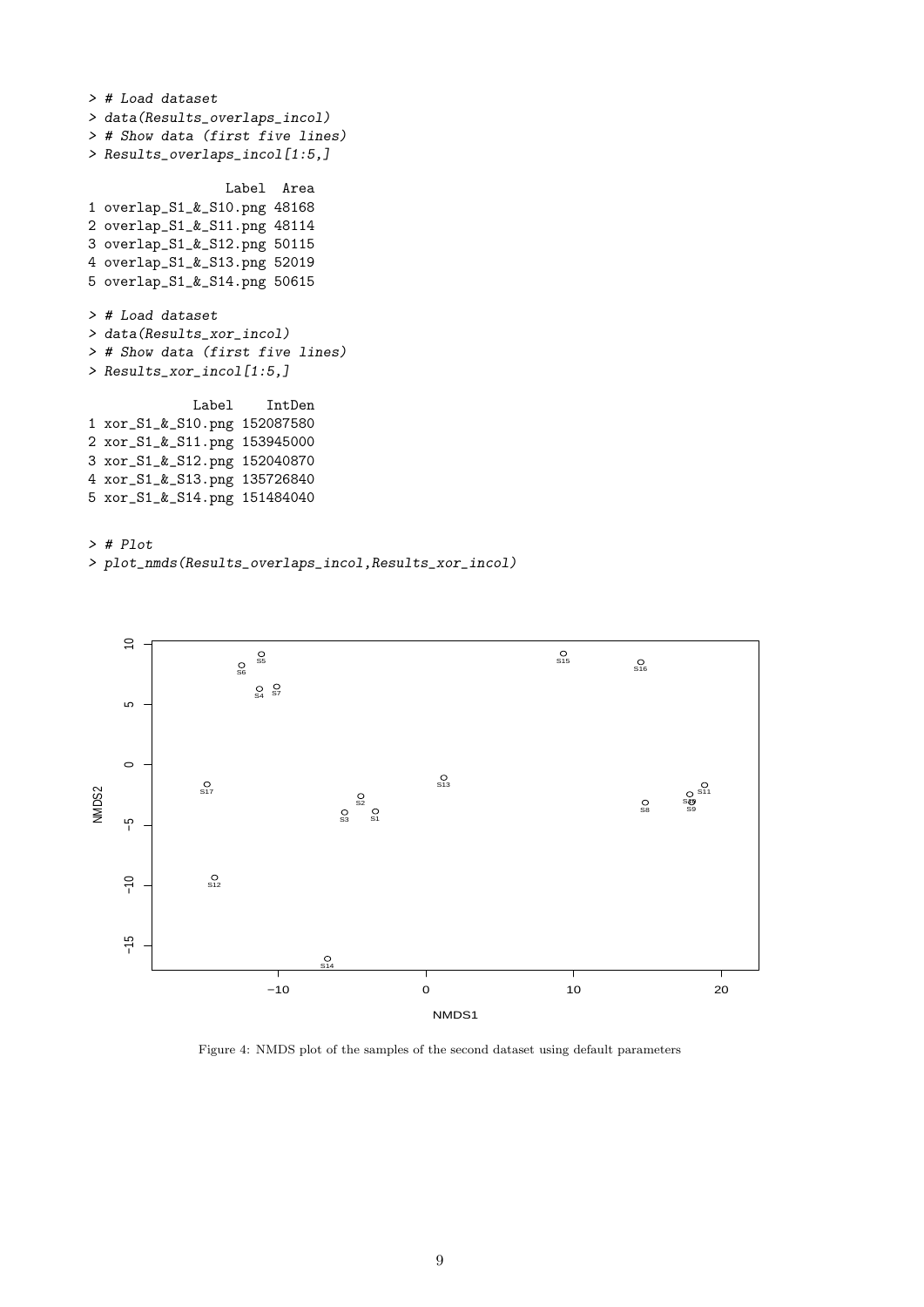```
> # Load dataset
> data(Results_overlaps_incol)
> # Show data (first five lines)
> Results_overlaps_incol[1:5,]
                 Label Area
1 overlap_S1_&_S10.png 48168
2 overlap_S1_&_S11.png 48114
3 overlap_S1_&_S12.png 50115
4 overlap_S1_&_S13.png 52019
5 overlap_S1_&_S14.png 50615
> # Load dataset
> data(Results_xor_incol)
> # Show data (first five lines)
> Results_xor_incol[1:5,]
             Label IntDen
1 xor_S1_&_S10.png 152087580
2 xor_S1_&_S11.png 153945000
3 xor_S1_&_S12.png 152040870
4 xor_S1_&_S13.png 135726840
5 xor_S1_&_S14.png 151484040
```
> # Plot > plot\_nmds(Results\_overlaps\_incol,Results\_xor\_incol)



Figure 4: NMDS plot of the samples of the second dataset using default parameters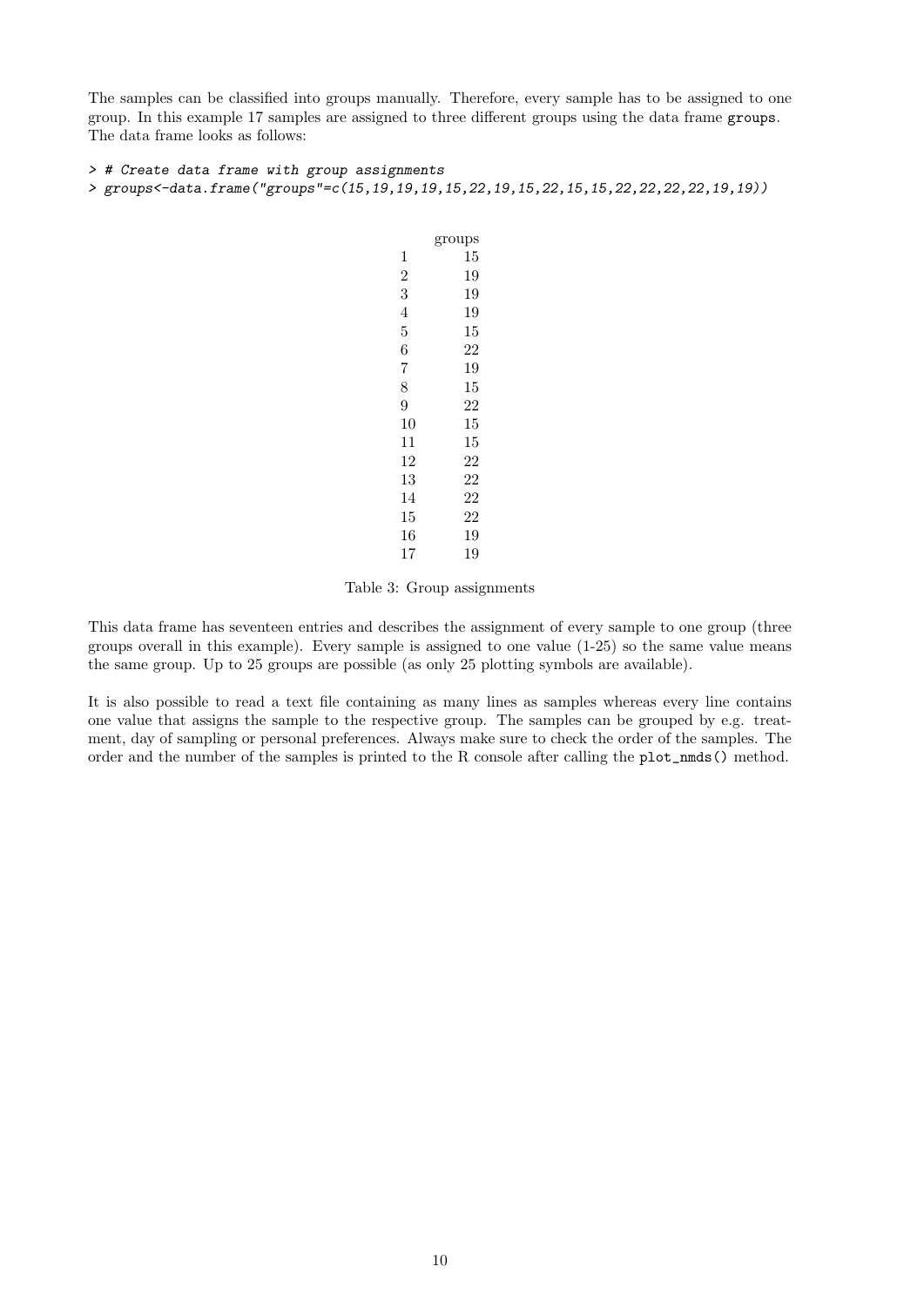The samples can be classified into groups manually. Therefore, every sample has to be assigned to one group. In this example 17 samples are assigned to three different groups using the data frame groups. The data frame looks as follows:

> # Create data frame with group assignments

```
> groups<-data.frame("groups"=c(15,19,19,19,15,22,19,15,22,15,15,22,22,22,22,19,19))
```

|    | groups |
|----|--------|
| 1  | 15     |
| 2  | 19     |
| 3  | 19     |
| 4  | 19     |
| 5  | 15     |
| 6  | 22     |
| 7  | 19     |
| 8  | 15     |
| 9  | 22     |
| 10 | 15     |
| 11 | 15     |
| 12 | 22     |
| 13 | 22     |
| 14 | 22     |
| 15 | 22     |
| 16 | 19     |
| 17 | 19     |

Table 3: Group assignments

This data frame has seventeen entries and describes the assignment of every sample to one group (three groups overall in this example). Every sample is assigned to one value (1-25) so the same value means the same group. Up to 25 groups are possible (as only 25 plotting symbols are available).

It is also possible to read a text file containing as many lines as samples whereas every line contains one value that assigns the sample to the respective group. The samples can be grouped by e.g. treatment, day of sampling or personal preferences. Always make sure to check the order of the samples. The order and the number of the samples is printed to the R console after calling the plot\_nmds() method.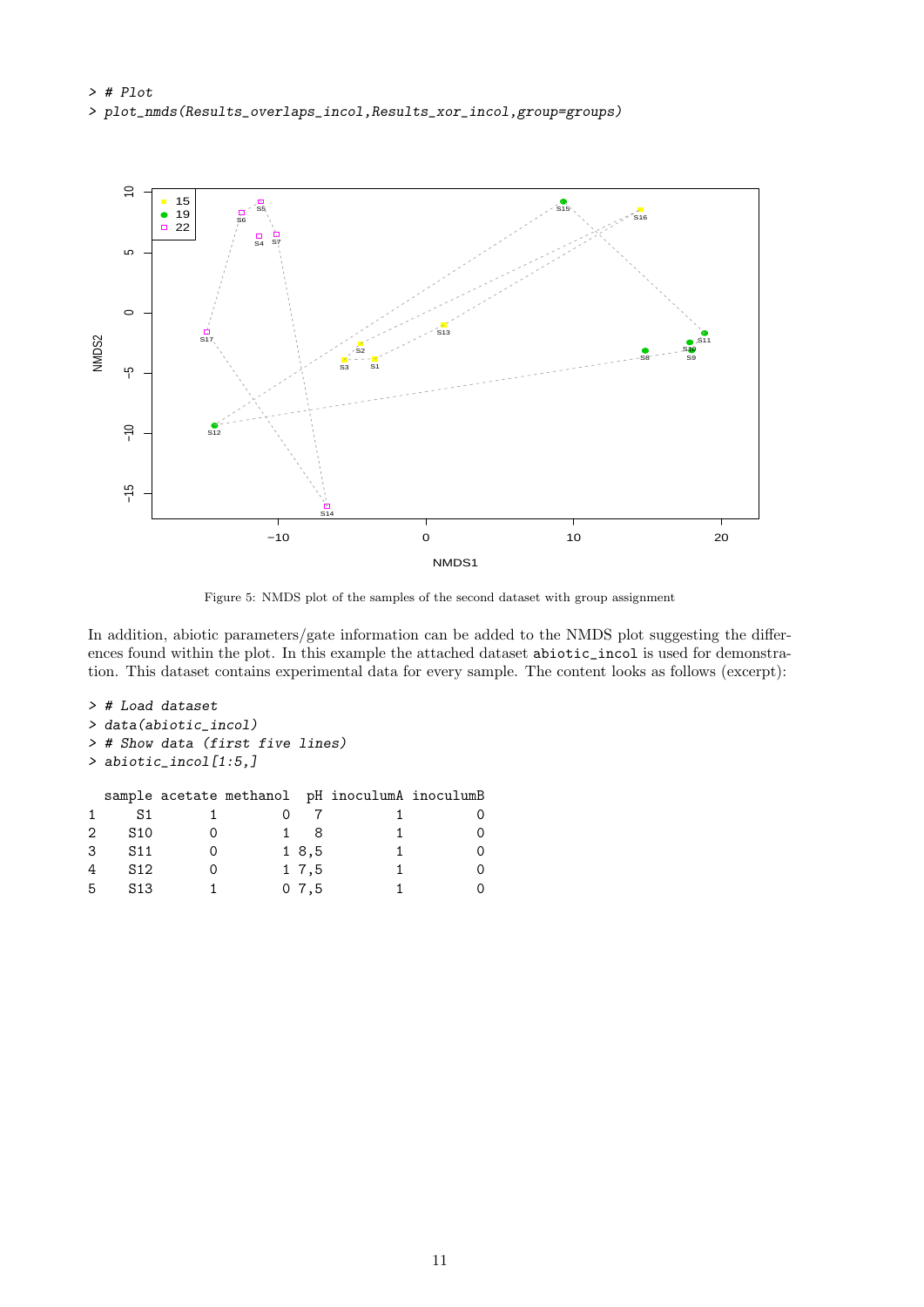> # Plot > plot\_nmds(Results\_overlaps\_incol,Results\_xor\_incol,group=groups)



Figure 5: NMDS plot of the samples of the second dataset with group assignment

In addition, abiotic parameters/gate information can be added to the NMDS plot suggesting the differences found within the plot. In this example the attached dataset abiotic\_incol is used for demonstration. This dataset contains experimental data for every sample. The content looks as follows (excerpt):

```
> # Load dataset
> data(abiotic_incol)
> # Show data (first five lines)
> abiotic_incol[1:5,]
 sample acetate methanol pH inoculumA inoculumB
1 S1 1 0 7 1 0
2 S10 0 1 8 1 0
3 S11 0 1 8,5 1 0
4 S12 0 1 7,5 1 0
```
5 S13 1 0 7,5 1 0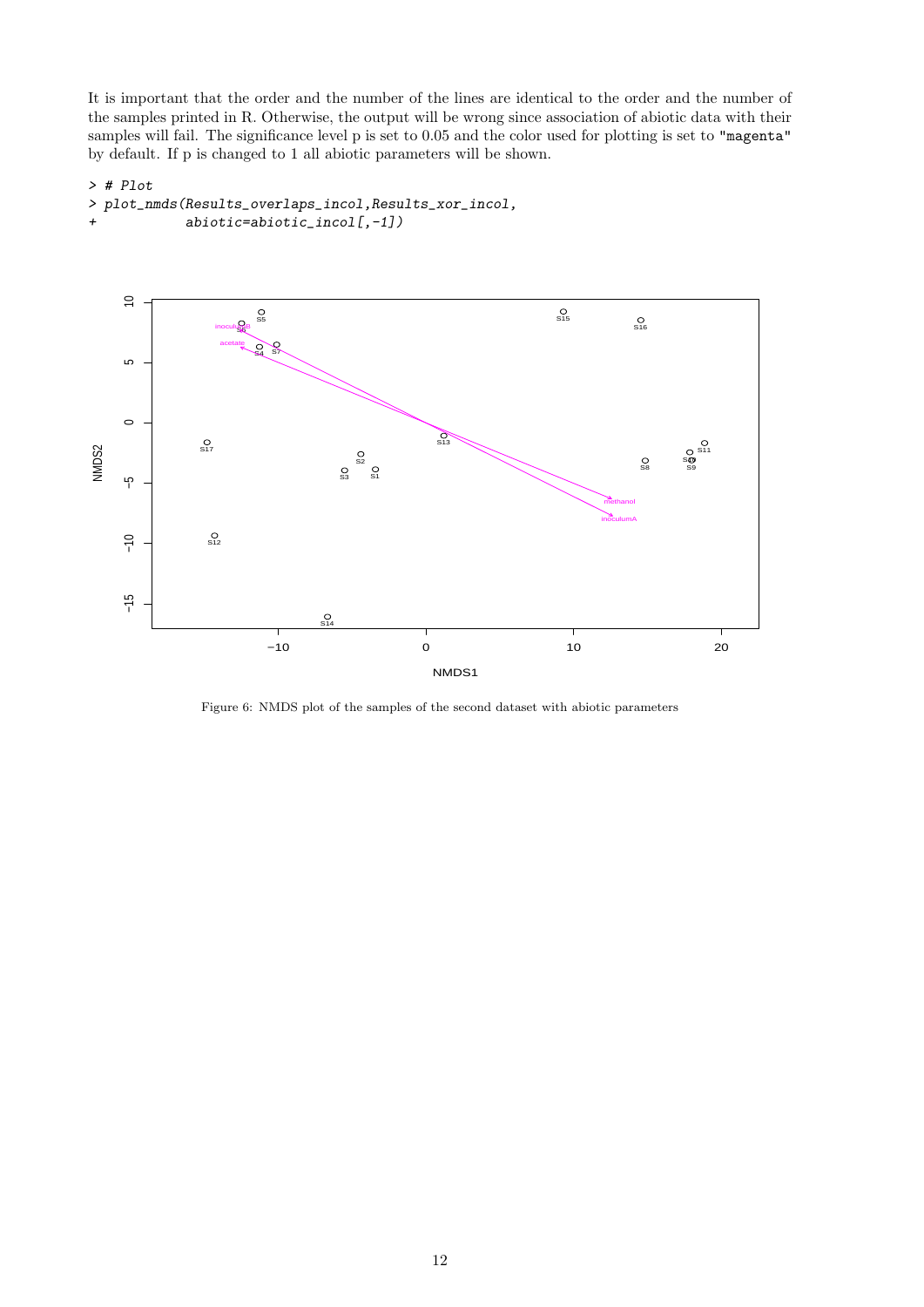It is important that the order and the number of the lines are identical to the order and the number of the samples printed in R. Otherwise, the output will be wrong since association of abiotic data with their samples will fail. The significance level p is set to 0.05 and the color used for plotting is set to "magenta" by default. If p is changed to 1 all abiotic parameters will be shown.

#### > # Plot

```
> plot_nmds(Results_overlaps_incol,Results_xor_incol,
+ abiotic=abiotic_incol[,-1])
```


Figure 6: NMDS plot of the samples of the second dataset with abiotic parameters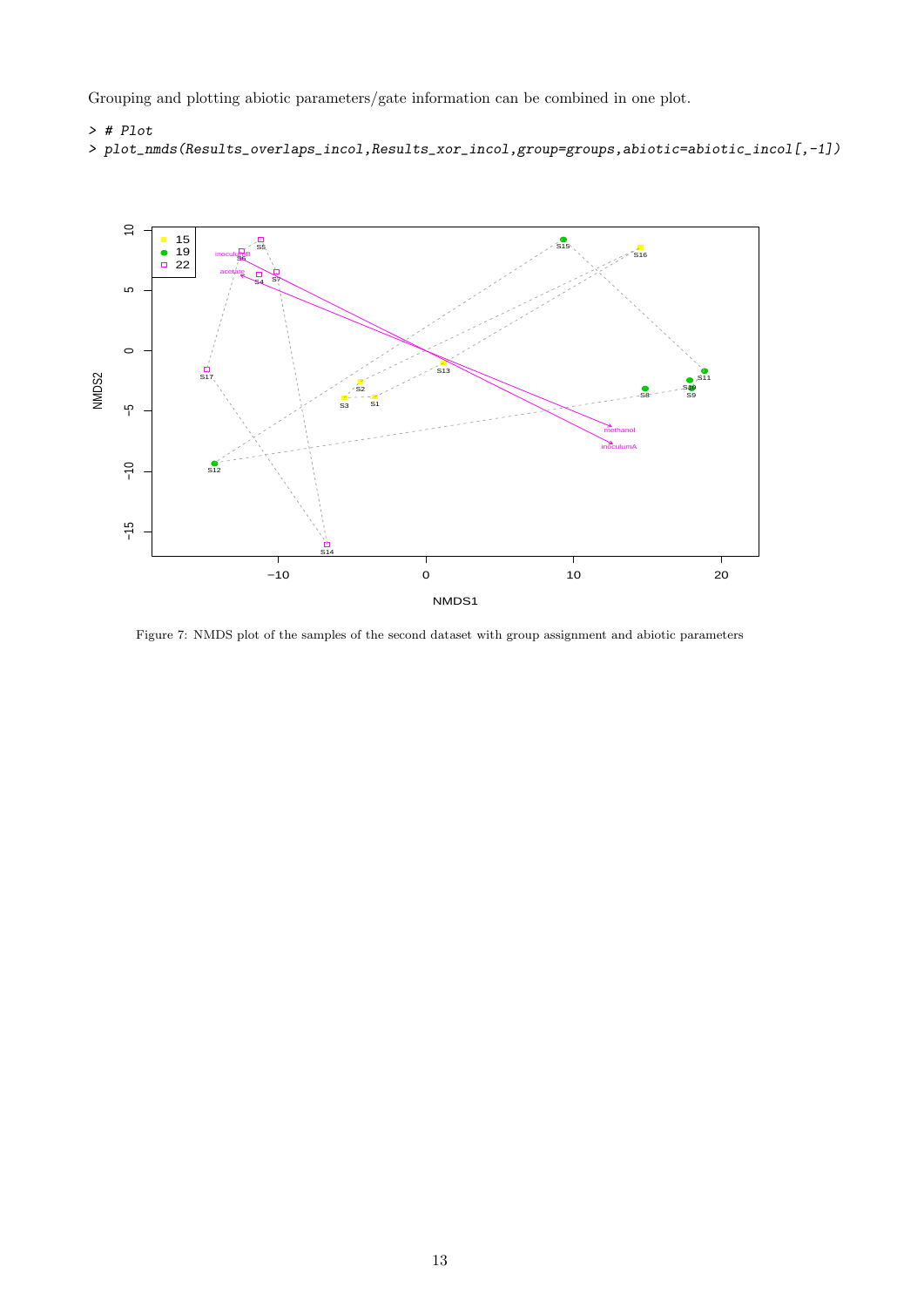Grouping and plotting abiotic parameters/gate information can be combined in one plot.

#### > # Plot

```
> plot_nmds(Results_overlaps_incol,Results_xor_incol,group=groups,abiotic=abiotic_incol[,-1])
```


Figure 7: NMDS plot of the samples of the second dataset with group assignment and abiotic parameters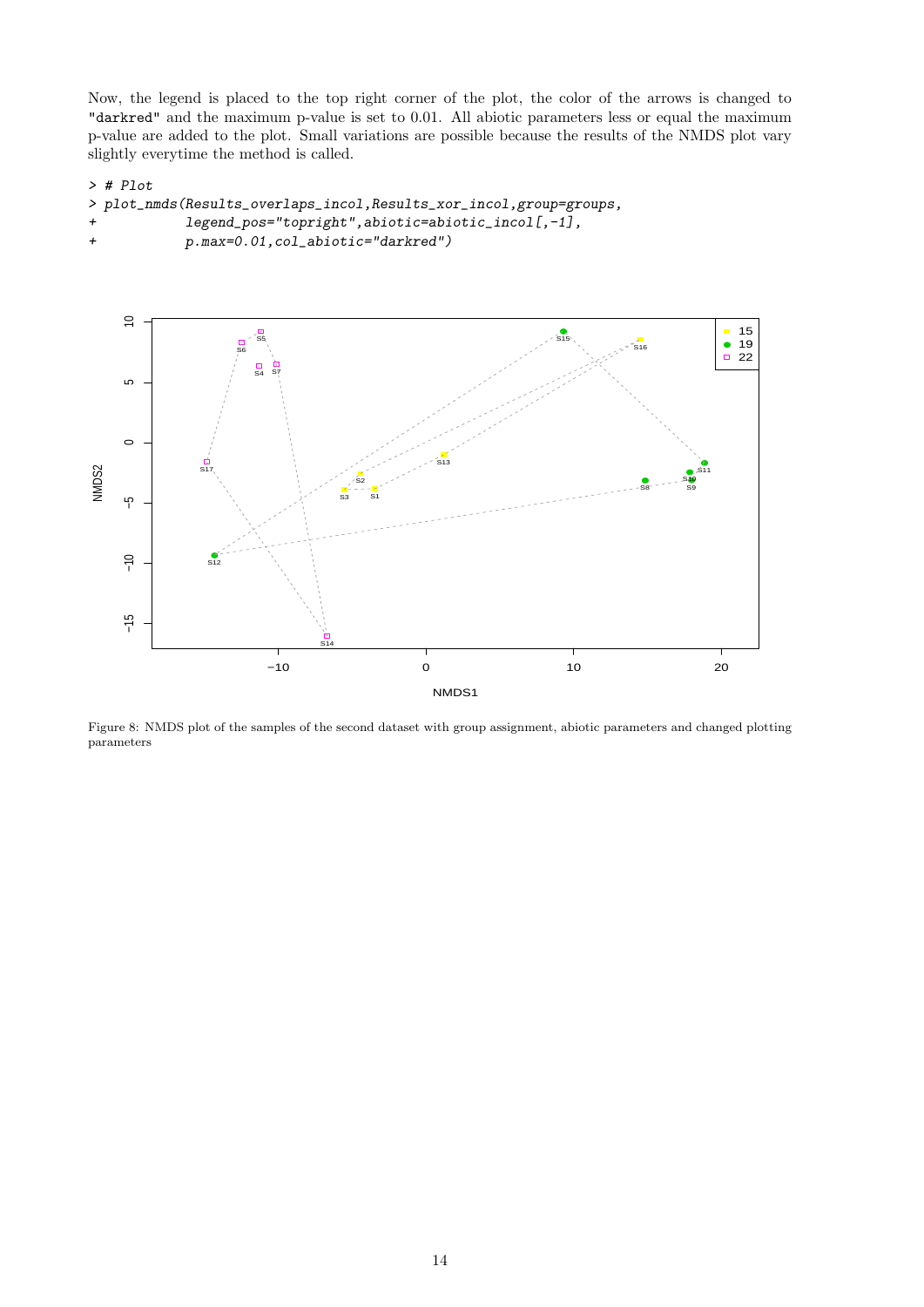Now, the legend is placed to the top right corner of the plot, the color of the arrows is changed to "darkred" and the maximum p-value is set to 0.01. All abiotic parameters less or equal the maximum p-value are added to the plot. Small variations are possible because the results of the NMDS plot vary slightly everytime the method is called.

```
> # Plot
```

```
> plot_nmds(Results_overlaps_incol,Results_xor_incol,group=groups,
+ legend_pos="topright",abiotic=abiotic_incol[,-1],
+ p.max=0.01,col_abiotic="darkred")
```


Figure 8: NMDS plot of the samples of the second dataset with group assignment, abiotic parameters and changed plotting parameters